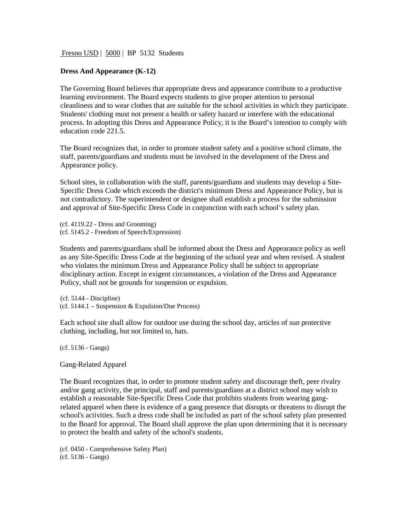Fresno USD | 5000 | BP 5132 Students

## **Dress And Appearance (K-12)**

The Governing Board believes that appropriate dress and appearance contribute to a productive learning environment. The Board expects students to give proper attention to personal cleanliness and to wear clothes that are suitable for the school activities in which they participate. Students' clothing must not present a health or safety hazard or interfere with the educational process. In adopting this Dress and Appearance Policy, it is the Board's intention to comply with education code 221.5.

The Board recognizes that, in order to promote student safety and a positive school climate, the staff, parents/guardians and students must be involved in the development of the Dress and Appearance policy.

School sites, in collaboration with the staff, parents/guardians and students may develop a Site-Specific Dress Code which exceeds the district's minimum Dress and Appearance Policy, but is not contradictory. The superintendent or designee shall establish a process for the submission and approval of Site-Specific Dress Code in conjunction with each school's safety plan.

(cf. 4119.22 - Dress and Grooming) (cf. 5145.2 - Freedom of Speech/Expression)

Students and parents/guardians shall be informed about the Dress and Appearance policy as well as any Site-Specific Dress Code at the beginning of the school year and when revised. A student who violates the minimum Dress and Appearance Policy shall be subject to appropriate disciplinary action. Except in exigent circumstances, a violation of the Dress and Appearance Policy, shall not be grounds for suspension or expulsion.

(cf. 5144 - Discipline) (cf. 5144.1 – Suspension & Expulsion/Due Process)

Each school site shall allow for outdoor use during the school day, articles of sun protective clothing, including, but not limited to, hats.

(cf. 5136 - Gangs)

Gang-Related Apparel

The Board recognizes that, in order to promote student safety and discourage theft, peer rivalry and/or gang activity, the principal, staff and parents/guardians at a district school may wish to establish a reasonable Site-Specific Dress Code that prohibits students from wearing gangrelated apparel when there is evidence of a gang presence that disrupts or threatens to disrupt the school's activities. Such a dress code shall be included as part of the school safety plan presented to the Board for approval. The Board shall approve the plan upon determining that it is necessary to protect the health and safety of the school's students.

(cf. 0450 - Comprehensive Safety Plan) (cf. 5136 - Gangs)